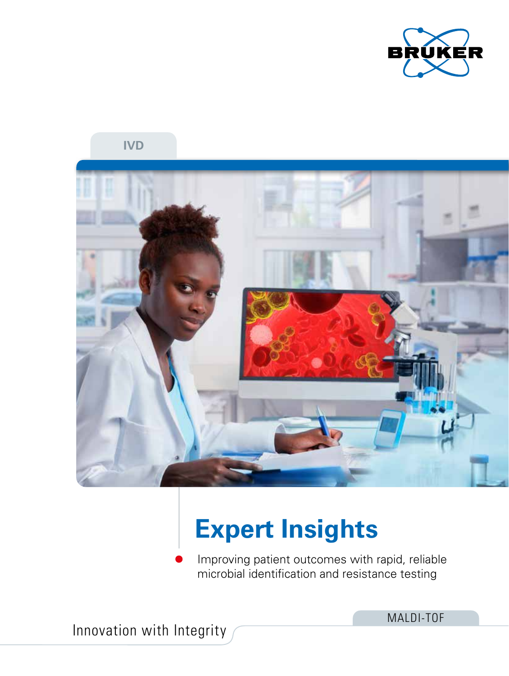

**IVD**



# **Expert Insights**

Improving patient outcomes with rapid, reliable microbial identification and resistance testing

Innovation with Integrity

MALDI-TOF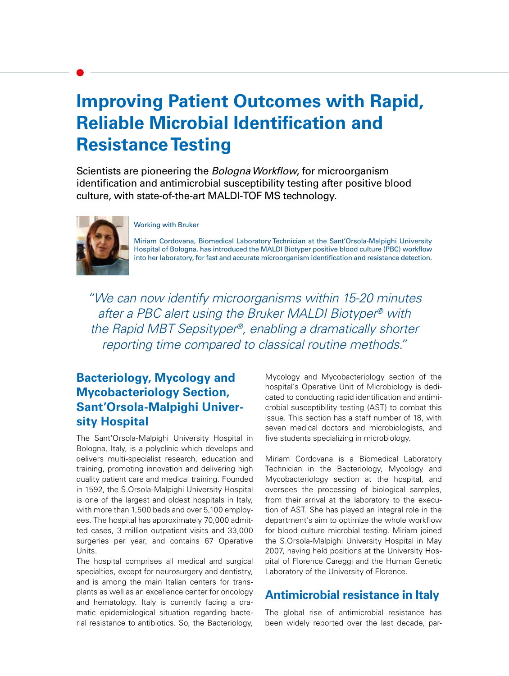## **Improving Patient Outcomes with Rapid, Reliable Microbial Identification and Resistance Testing**

Scientists are pioneering the *Bologna Workflow*, for microorganism identification and antimicrobial susceptibility testing after positive blood culture, with state-of-the-art MALDI-TOF MS technology.



#### Working with Bruker

Miriam Cordovana, Biomedical Laboratory Technician at the Sant'Orsola-Malpighi University Hospital of Bologna, has introduced the MALDI Biotyper positive blood culture (PBC) workflow into her laboratory, for fast and accurate microorganism identification and resistance detection.

"We can now identify microorganisms within 15-20 minutes after a PBC alert using the Bruker MALDI Biotyper® with the Rapid MBT Sepsityper®, enabling a dramatically shorter reporting time compared to classical routine methods."

### **Bacteriology, Mycology and Mycobacteriology Section, Sant'Orsola-Malpighi University Hospital**

The Sant'Orsola-Malpighi University Hospital in Bologna, Italy, is a polyclinic which develops and delivers multi-specialist research, education and training, promoting innovation and delivering high quality patient care and medical training. Founded in 1592, the S.Orsola-Malpighi University Hospital is one of the largest and oldest hospitals in Italy, with more than 1,500 beds and over 5,100 employees. The hospital has approximately 70,000 admitted cases, 3 million outpatient visits and 33,000 surgeries per year, and contains 67 Operative Units.

The hospital comprises all medical and surgical specialties, except for neurosurgery and dentistry, and is among the main Italian centers for transplants as well as an excellence center for oncology and hematology. Italy is currently facing a dramatic epidemiological situation regarding bacterial resistance to antibiotics. So, the Bacteriology, Mycology and Mycobacteriology section of the hospital's Operative Unit of Microbiology is dedicated to conducting rapid identification and antimicrobial susceptibility testing (AST) to combat this issue. This section has a staff number of 18, with seven medical doctors and microbiologists, and five students specializing in microbiology.

Miriam Cordovana is a Biomedical Laboratory Technician in the Bacteriology, Mycology and Mycobacteriology section at the hospital, and oversees the processing of biological samples, from their arrival at the laboratory to the execution of AST. She has played an integral role in the department's aim to optimize the whole workflow for blood culture microbial testing. Miriam joined the S.Orsola-Malpighi University Hospital in May 2007, having held positions at the University Hospital of Florence Careggi and the Human Genetic Laboratory of the University of Florence.

#### **Antimicrobial resistance in Italy**

The global rise of antimicrobial resistance has been widely reported over the last decade, par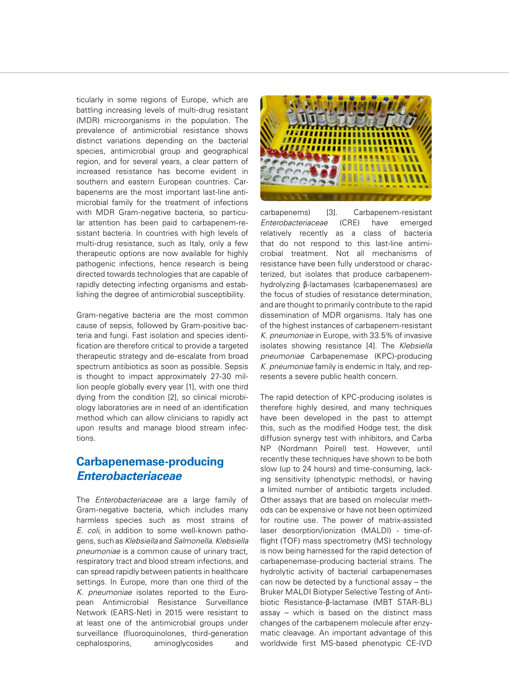ticularly in some regions of Europe, which are battling increasing levels of multi-drug resistant (MDR) microorganisms in the population. The prevalence of antimicrobial resistance shows distinct variations depending on the bacterial species, antimicrobial group and geographical region, and for several years, a clear pattern of increased resistance has become evident in southern and eastern European countries. Carbapenems are the most important last-line antimicrobial family for the treatment of infections with MDR Gram-negative bacteria, so particular attention has been paid to carbapenem-resistant bacteria. In countries with high levels of multi-drug resistance, such as Italy, only a few therapeutic options are now available for highly pathogenic infections, hence research is being directed towards technologies that are capable of rapidly detecting infecting organisms and establishing the degree of antimicrobial susceptibility.

Gram-negative bacteria are the most common cause of sepsis, followed by Gram-positive bacteria and fungi. Fast isolation and species identification are therefore critical to provide a targeted therapeutic strategy and de-escalate from broad spectrum antibiotics as soon as possible. Sepsis is thought to impact approximately 27-30 million people globally every year [1], with one third dying from the condition [2], so clinical microbiology laboratories are in need of an identification method which can allow clinicians to rapidly act upon results and manage blood stream infections.

#### **Carbapenemase-producing**  *Enterobacteriaceae*

The *Enterobacteriaceae* are a large family of Gram-negative bacteria, which includes many harmless species such as most strains of *E. coli*, in addition to some well-known pathogens, such as *Klebsiella* and *Salmonella*. *Klebsiella pneumoniae* is a common cause of urinary tract, respiratory tract and blood stream infections, and can spread rapidly between patients in healthcare settings. In Europe, more than one third of the *K. pneumoniae* isolates reported to the European Antimicrobial Resistance Surveillance Network (EARS-Net) in 2015 were resistant to at least one of the antimicrobial groups under surveillance (fluoroquinolones, third-generation cephalosporins, aminoglycosides and



carbapenems) [3]. Carbapenem-resistant *Enterobacteriaceae* (CRE) have emerged relatively recently as a class of bacteria that do not respond to this last-line antimicrobial treatment. Not all mechanisms of resistance have been fully understood or characterized, but isolates that produce carbapenemhydrolyzing β-lactamases (carbapenemases) are the focus of studies of resistance determination, and are thought to primarily contribute to the rapid dissemination of MDR organisms. Italy has one of the highest instances of carbapenem-resistant *K. pneumoniae* in Europe, with 33.5% of invasive isolates showing resistance [4]. The *Klebsiella pneumoniae* Carbapenemase (KPC)-producing *K. pneumoniae* family is endemic in Italy, and represents a severe public health concern.

The rapid detection of KPC-producing isolates is therefore highly desired, and many techniques have been developed in the past to attempt this, such as the modified Hodge test, the disk diffusion synergy test with inhibitors, and Carba NP (Nordmann Poirel) test. However, until recently these techniques have shown to be both slow (up to 24 hours) and time-consuming, lacking sensitivity (phenotypic methods), or having a limited number of antibiotic targets included. Other assays that are based on molecular methods can be expensive or have not been optimized for routine use. The power of matrix-assisted laser desorption/ionization (MALDI) - time-offlight (TOF) mass spectrometry (MS) technology is now being harnessed for the rapid detection of carbapenemase-producing bacterial strains. The hydrolytic activity of bacterial carbapenemases can now be detected by a functional assay – the Bruker MALDI Biotyper Selective Testing of Antibiotic Resistance-β-lactamase (MBT STAR-BL) assay – which is based on the distinct mass changes of the carbapenem molecule after enzymatic cleavage. An important advantage of this worldwide first MS-based phenotypic CE-IVD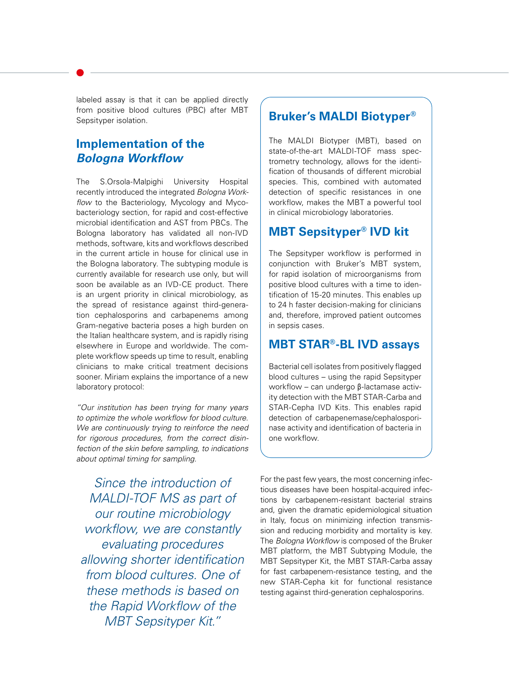labeled assay is that it can be applied directly from positive blood cultures (PBC) after MBT Sepsityper isolation.

#### **Implementation of the**  *Bologna Workflow*

The S.Orsola-Malpighi University Hospital recently introduced the integrated *Bologna Workflow* to the Bacteriology, Mycology and Mycobacteriology section, for rapid and cost-effective microbial identification and AST from PBCs. The Bologna laboratory has validated all non-IVD methods, software, kits and workflows described in the current article in house for clinical use in the Bologna laboratory. The subtyping module is currently available for research use only, but will soon be available as an IVD-CE product. There is an urgent priority in clinical microbiology, as the spread of resistance against third-generation cephalosporins and carbapenems among Gram-negative bacteria poses a high burden on the Italian healthcare system, and is rapidly rising elsewhere in Europe and worldwide. The complete workflow speeds up time to result, enabling clinicians to make critical treatment decisions sooner. Miriam explains the importance of a new laboratory protocol:

*"Our institution has been trying for many years to optimize the whole workflow for blood culture. We are continuously trying to reinforce the need for rigorous procedures, from the correct disinfection of the skin before sampling, to indications about optimal timing for sampling.* 

*Since the introduction of MALDI-TOF MS as part of our routine microbiology workflow, we are constantly evaluating procedures allowing shorter identification from blood cultures. One of these methods is based on the Rapid Workflow of the MBT Sepsityper Kit."*

#### **Bruker's MALDI Biotyper®**

The MALDI Biotyper (MBT), based on state-of-the-art MALDI-TOF mass spectrometry technology, allows for the identification of thousands of different microbial species. This, combined with automated detection of specific resistances in one workflow, makes the MBT a powerful tool in clinical microbiology laboratories.

### **MBT Sepsityper® IVD kit**

The Sepsityper workflow is performed in conjunction with Bruker's MBT system, for rapid isolation of microorganisms from positive blood cultures with a time to identification of 15-20 minutes. This enables up to 24 h faster decision-making for clinicians and, therefore, improved patient outcomes in sepsis cases.

#### **MBT STAR®-BL IVD assays**

Bacterial cell isolates from positively flagged blood cultures – using the rapid Sepsityper workflow – can undergo β-lactamase activity detection with the MBT STAR-Carba and STAR-Cepha IVD Kits. This enables rapid detection of carbapenemase/cephalosporinase activity and identification of bacteria in one workflow.

For the past few years, the most concerning infectious diseases have been hospital-acquired infections by carbapenem-resistant bacterial strains and, given the dramatic epidemiological situation in Italy, focus on minimizing infection transmission and reducing morbidity and mortality is key. The *Bologna Workflow* is composed of the Bruker MBT platform, the MBT Subtyping Module, the MBT Sepsityper Kit, the MBT STAR-Carba assay for fast carbapenem-resistance testing, and the new STAR-Cepha kit for functional resistance testing against third-generation cephalosporins.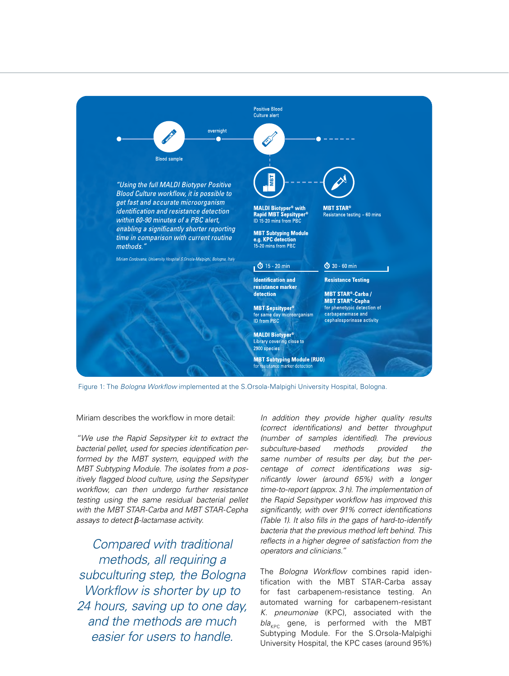

Figure 1: The *Bologna Workflow* implemented at the S.Orsola-Malpighi University Hospital, Bologna.

Miriam describes the workflow in more detail:

*"We use the Rapid Sepsityper kit to extract the bacterial pellet, used for species identification performed by the MBT system, equipped with the MBT Subtyping Module. The isolates from a positively flagged blood culture, using the Sepsityper workflow, can then undergo further resistance testing using the same residual bacterial pellet with the MBT STAR-Carba and MBT STAR-Cepha assays to detect β-lactamase activity.* 

*Compared with traditional methods, all requiring a subculturing step, the Bologna Workflow is shorter by up to 24 hours, saving up to one day, and the methods are much easier for users to handle.*

*In addition they provide higher quality results (correct identifications) and better throughput (number of samples identified). The previous subculture-based methods provided the same number of results per day, but the percentage of correct identifications was significantly lower (around 65%) with a longer time-to-report (approx. 3 h). The implementation of the Rapid Sepsityper workflow has improved this significantly, with over 91% correct identifications (Table 1). It also fills in the gaps of hard-to-identify bacteria that the previous method left behind. This reflects in a higher degree of satisfaction from the operators and clinicians."*

The *Bologna Workflow* combines rapid identification with the MBT STAR-Carba assay for fast carbapenem-resistance testing. An automated warning for carbapenem-resistant *K. pneumoniae* (KPC), associated with the  $bla_{KPC}$  gene, is performed with the MBT Subtyping Module. For the S.Orsola-Malpighi University Hospital, the KPC cases (around 95%)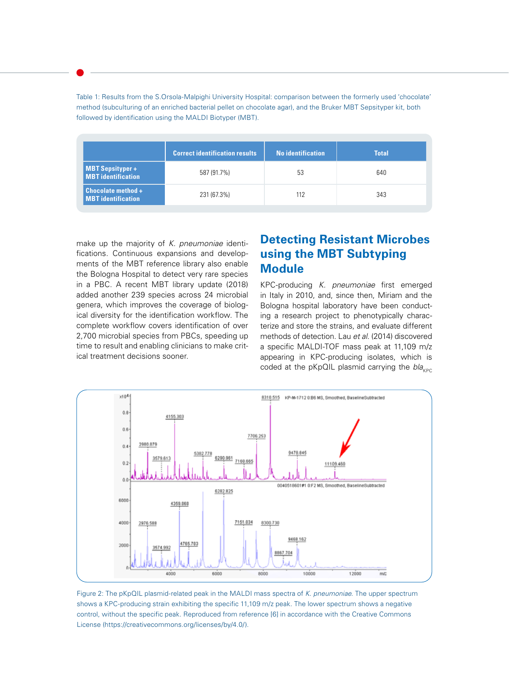Table 1: Results from the S.Orsola-Malpighi University Hospital: comparison between the formerly used 'chocolate' method (subculturing of an enriched bacterial pellet on chocolate agar), and the Bruker MBT Sepsityper kit, both followed by identification using the MALDI Biotyper (MBT).

|                                                        | <b>Correct identification results</b> | <b>No identification</b> | <b>Total</b> |
|--------------------------------------------------------|---------------------------------------|--------------------------|--------------|
| <b>MBT Sepsityper+</b><br><b>MBT</b> identification    | 587 (91.7%)                           | 53                       | 640          |
| <b>Chocolate method +</b><br><b>MBT</b> identification | 231 (67.3%)                           | 112                      | 343          |

make up the majority of *K. pneumoniae* identifications. Continuous expansions and developments of the MBT reference library also enable the Bologna Hospital to detect very rare species in a PBC. A recent MBT library update (2018) added another 239 species across 24 microbial genera, which improves the coverage of biological diversity for the identification workflow. The complete workflow covers identification of over 2,700 microbial species from PBCs, speeding up time to result and enabling clinicians to make critical treatment decisions sooner.

#### **Detecting Resistant Microbes using the MBT Subtyping Module**

KPC-producing *K. pneumoniae* first emerged in Italy in 2010, and, since then, Miriam and the Bologna hospital laboratory have been conducting a research project to phenotypically characterize and store the strains, and evaluate different methods of detection. Lau *et al*. (2014) discovered a specific MALDI-TOF mass peak at 11,109 m/z appearing in KPC-producing isolates, which is coded at the pKpQIL plasmid carrying the *bla*<sub>KPC</sub>



Figure 2: The pKpQIL plasmid-related peak in the MALDI mass spectra of *K. pneumoniae*. The upper spectrum shows a KPC-producing strain exhibiting the specific 11,109 m/z peak. The lower spectrum shows a negative control, without the specific peak. Reproduced from reference [6] in accordance with the Creative Commons License (https://creativecommons.org/licenses/by/4.0/).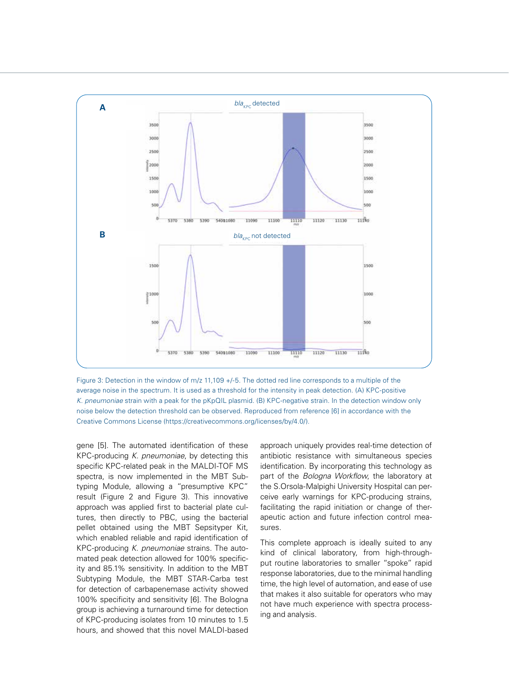

Figure 3: Detection in the window of m/z 11,109 +/-5. The dotted red line corresponds to a multiple of the average noise in the spectrum. It is used as a threshold for the intensity in peak detection. (A) KPC-positive *K. pneumoniae* strain with a peak for the pKpQIL plasmid. (B) KPC-negative strain. In the detection window only noise below the detection threshold can be observed. Reproduced from reference [6] in accordance with the Creative Commons License (https://creativecommons.org/licenses/by/4.0/).

gene [5]. The automated identification of these KPC-producing *K. pneumoniae*, by detecting this specific KPC-related peak in the MALDI-TOF MS spectra, is now implemented in the MBT Subtyping Module, allowing a "presumptive KPC" result (Figure 2 and Figure 3). This innovative approach was applied first to bacterial plate cultures, then directly to PBC, using the bacterial pellet obtained using the MBT Sepsityper Kit, which enabled reliable and rapid identification of KPC-producing *K. pneumoniae* strains. The automated peak detection allowed for 100% specificity and 85.1% sensitivity. In addition to the MBT Subtyping Module, the MBT STAR-Carba test for detection of carbapenemase activity showed 100% specificity and sensitivity [6]. The Bologna group is achieving a turnaround time for detection of KPC-producing isolates from 10 minutes to 1.5 hours, and showed that this novel MALDI-based

approach uniquely provides real-time detection of antibiotic resistance with simultaneous species identification. By incorporating this technology as part of the *Bologna Workflow*, the laboratory at the S.Orsola-Malpighi University Hospital can perceive early warnings for KPC-producing strains, facilitating the rapid initiation or change of therapeutic action and future infection control measures.

This complete approach is ideally suited to any kind of clinical laboratory, from high-throughput routine laboratories to smaller "spoke" rapid response laboratories, due to the minimal handling time, the high level of automation, and ease of use that makes it also suitable for operators who may not have much experience with spectra processing and analysis.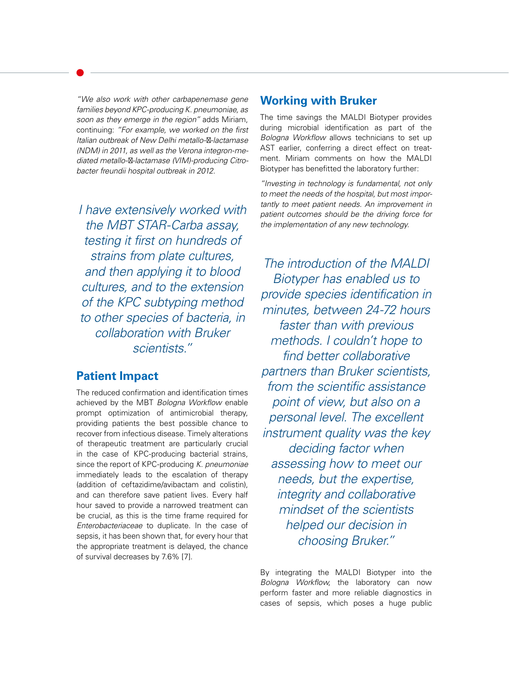*"We also work with other carbapenemase gene families beyond KPC-producing K. pneumoniae, as soon as they emerge in the region"* adds Miriam, continuing: *"For example, we worked on the first Italian outbreak of New Delhi metallo- -lactamase (NDM) in 2011, as well as the Verona integron-mediated metallo-β-lactamase (VIM)-producing Citrobacter freundii hospital outbreak in 2012.* 

*I have extensively worked with the MBT STAR-Carba assay, testing it first on hundreds of strains from plate cultures, and then applying it to blood cultures, and to the extension of the KPC subtyping method to other species of bacteria, in collaboration with Bruker scientists."*

#### **Patient Impact**

The reduced confirmation and identification times achieved by the MBT *Bologna Workflow* enable prompt optimization of antimicrobial therapy, providing patients the best possible chance to recover from infectious disease. Timely alterations of therapeutic treatment are particularly crucial in the case of KPC-producing bacterial strains, since the report of KPC-producing *K. pneumoniae* immediately leads to the escalation of therapy (addition of ceftazidime/avibactam and colistin), and can therefore save patient lives. Every half hour saved to provide a narrowed treatment can be crucial, as this is the time frame required for *Enterobacteriaceae* to duplicate. In the case of sepsis, it has been shown that, for every hour that the appropriate treatment is delayed, the chance of survival decreases by 7.6% [7].

#### **Working with Bruker**

The time savings the MALDI Biotyper provides during microbial identification as part of the *Bologna Workflow* allows technicians to set up AST earlier, conferring a direct effect on treatment. Miriam comments on how the MALDI Biotyper has benefitted the laboratory further:

*"Investing in technology is fundamental, not only to meet the needs of the hospital, but most importantly to meet patient needs. An improvement in patient outcomes should be the driving force for the implementation of any new technology.* 

*The introduction of the MALDI Biotyper has enabled us to provide species identification in minutes, between 24-72 hours faster than with previous methods. I couldn't hope to find better collaborative partners than Bruker scientists, from the scientific assistance point of view, but also on a personal level. The excellent instrument quality was the key deciding factor when assessing how to meet our needs, but the expertise, integrity and collaborative mindset of the scientists helped our decision in choosing Bruker."*

By integrating the MALDI Biotyper into the *Bologna Workflow*, the laboratory can now perform faster and more reliable diagnostics in cases of sepsis, which poses a huge public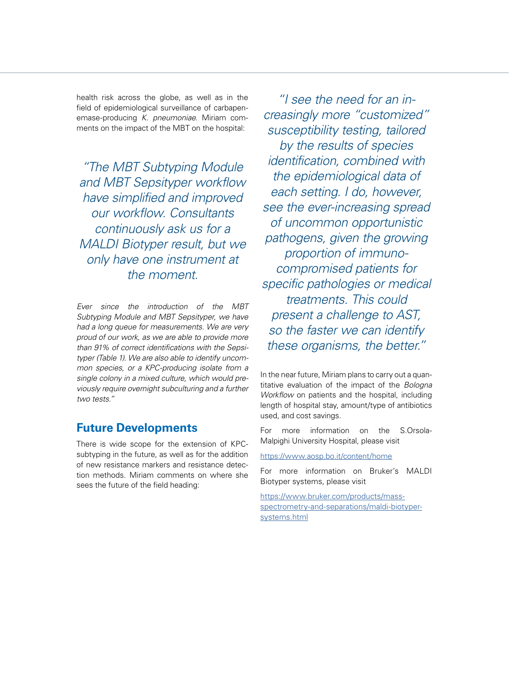health risk across the globe, as well as in the field of epidemiological surveillance of carbapenemase-producing *K. pneumoniae*. Miriam comments on the impact of the MBT on the hospital:

*"The MBT Subtyping Module and MBT Sepsityper workflow have simplified and improved our workflow. Consultants continuously ask us for a MALDI Biotyper result, but we only have one instrument at the moment.* 

*Ever since the introduction of the MBT Subtyping Module and MBT Sepsityper, we have had a long queue for measurements. We are very proud of our work, as we are able to provide more than 91% of correct identifications with the Sepsityper (Table 1). We are also able to identify uncommon species, or a KPC-producing isolate from a single colony in a mixed culture, which would previously require overnight subculturing and a further two tests."*

#### **Future Developments**

There is wide scope for the extension of KPCsubtyping in the future, as well as for the addition of new resistance markers and resistance detection methods. Miriam comments on where she sees the future of the field heading:

*"I see the need for an increasingly more "customized" susceptibility testing, tailored by the results of species identification, combined with the epidemiological data of each setting. I do, however, see the ever-increasing spread of uncommon opportunistic pathogens, given the growing proportion of immunocompromised patients for specific pathologies or medical treatments. This could present a challenge to AST, so the faster we can identify these organisms, the better."* 

In the near future, Miriam plans to carry out a quantitative evaluation of the impact of the *Bologna Workflow* on patients and the hospital, including length of hospital stay, amount/type of antibiotics used, and cost savings.

For more information on the S.Orsola-Malpighi University Hospital, please visit

<https://www.aosp.bo.it/content/home>

For more information on Bruker's MALDI Biotyper systems, please visit

[https://www.bruker.com/products/mass](https://www.bruker.com/products/mass-spectrometry-and-separations/maldi-biotyper-systems.html)[spectrometry-and-separations/maldi-biotyper](https://www.bruker.com/products/mass-spectrometry-and-separations/maldi-biotyper-systems.html)[systems.html](https://www.bruker.com/products/mass-spectrometry-and-separations/maldi-biotyper-systems.html)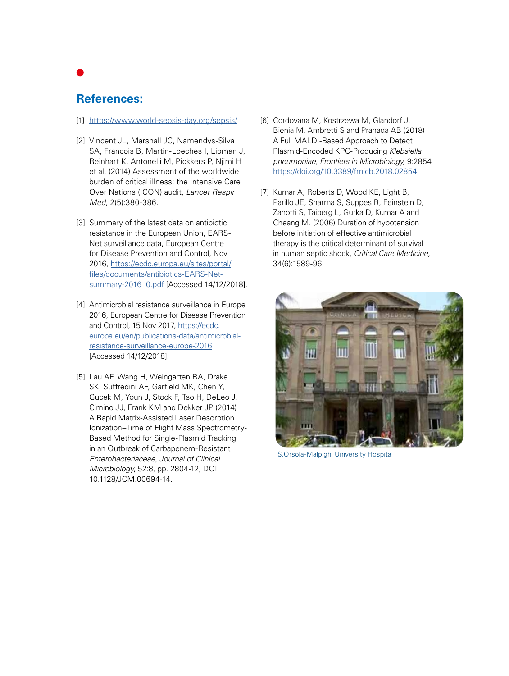#### **References:**

#### [1] <https://www.world-sepsis-day.org/sepsis/>

- [2] Vincent JL, Marshall JC, Namendys-Silva SA, Francois B, Martin-Loeches I, Lipman J, Reinhart K, Antonelli M, Pickkers P, Njimi H et al. (2014) Assessment of the worldwide burden of critical illness: the Intensive Care Over Nations (ICON) audit, *Lancet Respir Med*, 2(5):380-386.
- [3] Summary of the latest data on antibiotic resistance in the European Union, EARS-Net surveillance data, European Centre for Disease Prevention and Control, Nov 2016, [https://ecdc.europa.eu/sites/portal/](https://ecdc.europa.eu/sites/portal/files/documents/antibiotics-EARS-Net-summary-2016_0.pdf) [files/documents/antibiotics-EARS-Net](https://ecdc.europa.eu/sites/portal/files/documents/antibiotics-EARS-Net-summary-2016_0.pdf)[summary-2016\\_0.pdf](https://ecdc.europa.eu/sites/portal/files/documents/antibiotics-EARS-Net-summary-2016_0.pdf) [Accessed 14/12/2018].
- [4] Antimicrobial resistance surveillance in Europe 2016, European Centre for Disease Prevention and Control, 15 Nov 2017, [https://ecdc.](https://ecdc.europa.eu/en/publications-data/antimicrobial-resistance-surveillance-europe-2016 ) [europa.eu/en/publications-data/antimicrobial](https://ecdc.europa.eu/en/publications-data/antimicrobial-resistance-surveillance-europe-2016 )[resistance-surveillance-europe-2016](https://ecdc.europa.eu/en/publications-data/antimicrobial-resistance-surveillance-europe-2016 ) [Accessed 14/12/2018].
- [5] Lau AF, Wang H, Weingarten RA, Drake SK, Suffredini AF, Garfield MK, Chen Y, Gucek M, Youn J, Stock F, Tso H, DeLeo J, Cimino JJ, Frank KM and Dekker JP (2014) A Rapid Matrix-Assisted Laser Desorption Ionization–Time of Flight Mass Spectrometry-Based Method for Single-Plasmid Tracking in an Outbreak of Carbapenem-Resistant *Enterobacteriaceae*, *Journal of Clinical Microbiology*, 52:8, pp. 2804-12, DOI: 10.1128/JCM.00694-14.
- [6] Cordovana M, Kostrzewa M, Glandorf J, Bienia M, Ambretti S and Pranada AB (2018) A Full MALDI-Based Approach to Detect Plasmid-Encoded KPC-Producing *Klebsiella pneumoniae, Frontiers in Microbiology,* 9:2854 <https://doi.org/10.3389/fmicb.2018.02854>
- [7] Kumar A, Roberts D, Wood KE, Light B, Parillo JE, Sharma S, Suppes R, Feinstein D, Zanotti S, Taiberg L, Gurka D, Kumar A and Cheang M. (2006) Duration of hypotension before initiation of effective antimicrobial therapy is the critical determinant of survival in human septic shock, *Critical Care Medicine,*  34(6):1589-96.



S.Orsola-Malpighi University Hospital